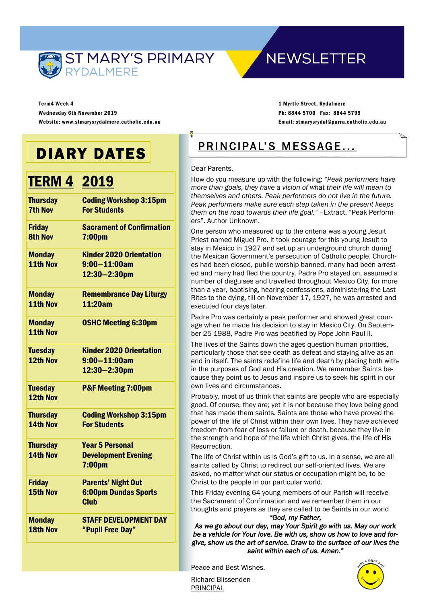

## **NEWSLETTER**

Term4 Week 4 Wednesday 6th November 2019 Website: www.stmarysrydalmere.catholic.edu.au

1 Myrtle Street, Rydalmere Ph: 8844 5700 Fax: 8844 5799 Email: stmarysrydal@parra.catholic.edu.au

# DIARY DATES

# TERM 4 2019

| <b>Thursday</b><br><b>7th Nov</b> | <b>Coding Workshop 3:15pm</b><br><b>For Students</b>                    |
|-----------------------------------|-------------------------------------------------------------------------|
| <b>Friday</b><br><b>8th Nov</b>   | <b>Sacrament of Confirmation</b><br>7:00 <sub>pm</sub>                  |
| <b>Monday</b><br>11th Nov         | <b>Kinder 2020 Orientation</b><br>$9:00 - 11:00$ am<br>12:30-2:30pm     |
| <b>Monday</b><br>11th Nov         | <b>Remembrance Day Liturgy</b><br>11:20am                               |
| <b>Monday</b><br>11th Nov         | <b>OSHC Meeting 6:30pm</b>                                              |
| <b>Tuesday</b><br>12th Nov        | <b>Kinder 2020 Orientation</b><br>$9:00 - 11:00$ am<br>12:30-2:30pm     |
| <b>Tuesday</b><br>12th Nov        | <b>P&amp;F Meeting 7:00pm</b>                                           |
| <b>Thursday</b><br>14th Nov       | <b>Coding Workshop 3:15pm</b><br><b>For Students</b>                    |
| <b>Thursday</b><br>14th Nov       | <b>Year 5 Personal</b><br><b>Development Evening</b><br>7:00pm          |
| <b>Friday</b><br>15th Nov         | <b>Parents' Night Out</b><br><b>6:00pm Dundas Sports</b><br><b>Club</b> |
| <b>Monday</b><br>18th Nov         | <b>STAFF DEVELOPMENT DAY</b><br>"Pupil Free Day"                        |

## PRINCIPAL'S MESSAGE...

#### Dear Parents,

How do you measure up with the following: *"Peak performers have more than goals, they have a vision of what their life will mean to themselves and others. Peak performers do not live in the future. Peak performers make sure each step taken in the present keeps them on the road towards their life goal."* –Extract, "Peak Performers". Author Unknown.

One person who measured up to the criteria was a young Jesuit Priest named Miguel Pro. It took courage for this young Jesuit to stay in Mexico in 1927 and set up an underground church during the Mexican Government's persecution of Catholic people. Churches had been closed, public worship banned, many had been arrested and many had fled the country. Padre Pro stayed on, assumed a number of disguises and travelled throughout Mexico City, for more than a year, baptising, hearing confessions, administering the Last Rites to the dying, till on November 17, 1927, he was arrested and executed four days later.

Padre Pro was certainly a peak performer and showed great courage when he made his decision to stay in Mexico City. On September 25 1988, Padre Pro was beatified by Pope John Paul II.

The lives of the Saints down the ages question human priorities, particularly those that see death as defeat and staying alive as an end in itself. The saints redefine life and death by placing both within the purposes of God and His creation. We remember Saints because they point us to Jesus and inspire us to seek his spirit in our own lives and circumstances.

Probably, most of us think that saints are people who are especially good. Of course, they are; yet it is not because they love being good that has made them saints. Saints are those who have proved the power of the life of Christ within their own lives. They have achieved freedom from fear of loss or failure or death, because they live in the strength and hope of the life which Christ gives, the life of His Resurrection.

The life of Christ within us is God's gift to us. In a sense, we are all saints called by Christ to redirect our self-oriented lives. We are asked, no matter what our status or occupation might be, to be Christ to the people in our particular world.

This Friday evening 64 young members of our Parish will receive the Sacrament of Confirmation and we remember them in our thoughts and prayers as they are called to be Saints in our world

*"God, my Father,* 

*As we go about our day, may Your Spirit go with us. May our work be a vehicle for Your love. Be with us, show us how to love and forgive, show us the art of service. Draw to the surface of our lives the saint within each of us. Amen."* 

Peace and Best Wishes.

Richard Blissenden PRINCIPAL

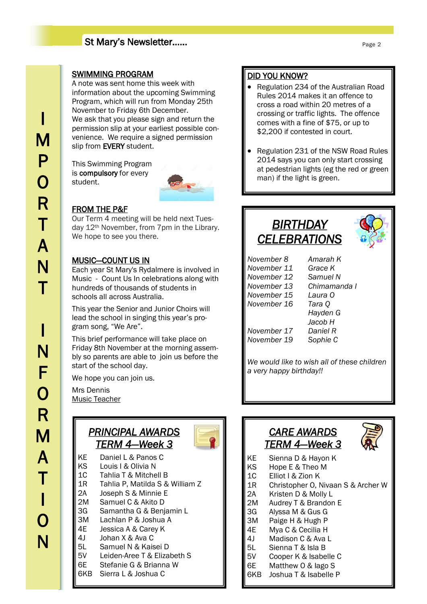### St Mary's Newsletter……

### SWIMMING PROGRAM

A note was sent home this week with information about the upcoming Swimming Program, which will run from Monday 25th November to Friday 6th December. We ask that you please sign and return the permission slip at your earliest possible convenience. We require a signed permission slip from EVERY student.

This Swimming Program is compulsory for every student.



### FROM THE P&F

Our Term 4 meeting will be held next Tuesday 12th November, from 7pm in the Library. We hope to see you there.

### MUSIC—COUNT US IN

Each year St Mary's Rydalmere is involved in Music - Count Us In celebrations along with hundreds of thousands of students in schools all across Australia.

This year the Senior and Junior Choirs will lead the school in singing this year's program song, "We Are".

This brief performance will take place on Friday 8th November at the morning assembly so parents are able to join us before the start of the school day.

We hope you can join us.

Mrs Dennis Music Teacher

### *PRINCIPAL AWARDS TERM 4—Week 3*

- 
- KE Daniel L & Panos C KS Louis I & Olivia N 1C Tahlia T & Mitchell B 1R Tahlia P, Matilda S & William Z 2A Joseph S & Minnie E 2M Samuel C & Akito D 3G Samantha G & Benjamin L 3M Lachlan P & Joshua A 4E Jessica A & Carey K 4J Johan X & Ava C 5L Samuel N & Kaisei D 5V Leiden-Aree T & Elizabeth S 6E Stefanie G & Brianna W 6KB Sierra L & Joshua C

### DID YOU KNOW?

- Regulation 234 of the Australian Road Rules 2014 makes it an offence to cross a road within 20 metres of a crossing or traffic lights. The offence comes with a fine of \$75, or up to \$2,200 if contested in court.
- Regulation 231 of the NSW Road Rules 2014 says you can only start crossing at pedestrian lights (eg the red or green man) if the light is green.

## *BIRTHDAY CELEBRATIONS*



| November 8  | Amarah K     |
|-------------|--------------|
| November 11 | Grace K      |
| November 12 | Samuel N     |
| November 13 | Chimamanda I |
| November 15 | Laura O      |
| November 16 | Tara Q       |
|             | Hayden G     |
|             | Jacob H      |
| November 17 | Daniel R     |
| November 19 | Sophie C     |
|             |              |

*We would like to wish all of these children a very happy birthday!!*

### *CARE AWARDS TERM 4—Week 3*



- KE Sienna D & Hayon K<br>KS Hope E & Theo M
	- Hope E & Theo M
- 1C Elliot I & Zion K
- 1R Christopher O, Nivaan S & Archer W
- 2A Kristen D & Molly L
- 2M Audrey T & Brandon E
- 3G Alyssa M & Gus G
- 3M Paige H & Hugh P
- 4E Mya C & Cecilia H
- 4J Madison C & Ava L
- 5L Sienna T & Isla B
- 5V Cooper K & Isabelle C
- 6E Matthew O & Iago S
- 6KB Joshua T & Isabelle P

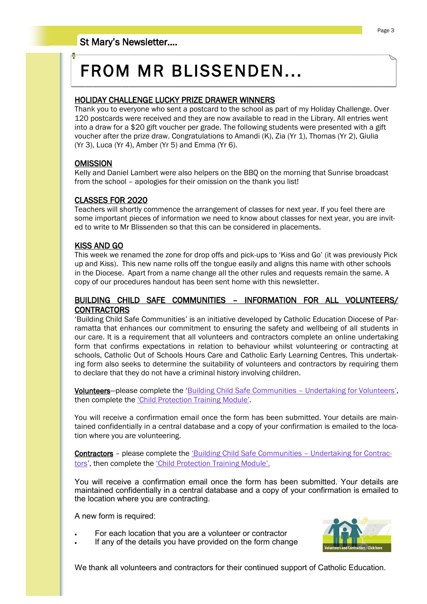# FROM MR BLISSENDEN...

### HOLIDAY CHALLENGE LUCKY PRIZE DRAWER WINNERS

Thank you to everyone who sent a postcard to the school as part of my Holiday Challenge. Over 120 postcards were received and they are now available to read in the Library. All entries went into a draw for a \$20 gift voucher per grade. The following students were presented with a gift voucher after the prize draw. Congratulations to Amandi (K), Zia (Yr 1), Thomas (Yr 2), Giulia (Yr 3), Luca (Yr 4), Amber (Yr 5) and Emma (Yr 6).

### **OMISSION**

Kelly and Daniel Lambert were also helpers on the BBQ on the morning that Sunrise broadcast from the school – apologies for their omission on the thank you list!

### CLASSES FOR 2020

Teachers will shortly commence the arrangement of classes for next year. If you feel there are some important pieces of information we need to know about classes for next year, you are invited to write to Mr Blissenden so that this can be considered in placements.

### KISS AND GO

This week we renamed the zone for drop offs and pick-ups to 'Kiss and Go' (it was previously Pick up and Kiss). This new name rolls off the tongue easily and aligns this name with other schools in the Diocese. Apart from a name change all the other rules and requests remain the same. A copy of our procedures handout has been sent home with this newsletter.

### BUILDING CHILD SAFE COMMUNITIES – INFORMATION FOR ALL VOLUNTEERS/ **CONTRACTORS**

'Building Child Safe Communities' is an initiative developed by Catholic Education Diocese of Parramatta that enhances our commitment to ensuring the safety and wellbeing of all students in our care. It is a requirement that all volunteers and contractors complete an online undertaking form that confirms expectations in relation to behaviour whilst volunteering or contracting at schools, Catholic Out of Schools Hours Care and Catholic Early Learning Centres. This undertaking form also seeks to determine the suitability of volunteers and contractors by requiring them to declare that they do not have a criminal history involving children.

Volunteers—please complete the '[Building Child Safe Communities](https://docs.google.com/forms/d/e/1FAIpQLSf3gev-UgIMuXgi7KzfKHyPwYI8Hl1jFguqlw7V0c2i5DiTnQ/viewform?c=0&w=1) – Undertaking for Volunteers', then complete the ['Child Protection Training Module'](https://ceo-web.parra.catholic.edu.au/asp/volunteerscpmodule/module1/index.htm).

You will receive a confirmation email once the form has been submitted. Your details are maintained confidentially in a central database and a copy of your confirmation is emailed to the location where you are volunteering.

Contractors – please complete the ['Building Child Safe Communities –](https://docs.google.com/forms/d/e/1FAIpQLSePup76lYgMhmKB2KwEvscWj029CM3VQSHqNmU3APfMD9K2Fw/viewform?c=0&w=1) Undertaking for Contrac[tors](https://docs.google.com/forms/d/e/1FAIpQLSePup76lYgMhmKB2KwEvscWj029CM3VQSHqNmU3APfMD9K2Fw/viewform?c=0&w=1)', then complete the ['Child Protection Training Module'.](https://ceo-web.parra.catholic.edu.au/asp/contractorscpmodule/module1/index.htm)

You will receive a confirmation email once the form has been submitted. Your details are maintained confidentially in a central database and a copy of your confirmation is emailed to the location where you are contracting.

A new form is required:

- For each location that you are a volunteer or contractor
- If any of the details you have provided on the form change



Page 3

We thank all volunteers and contractors for their continued support of Catholic Education.